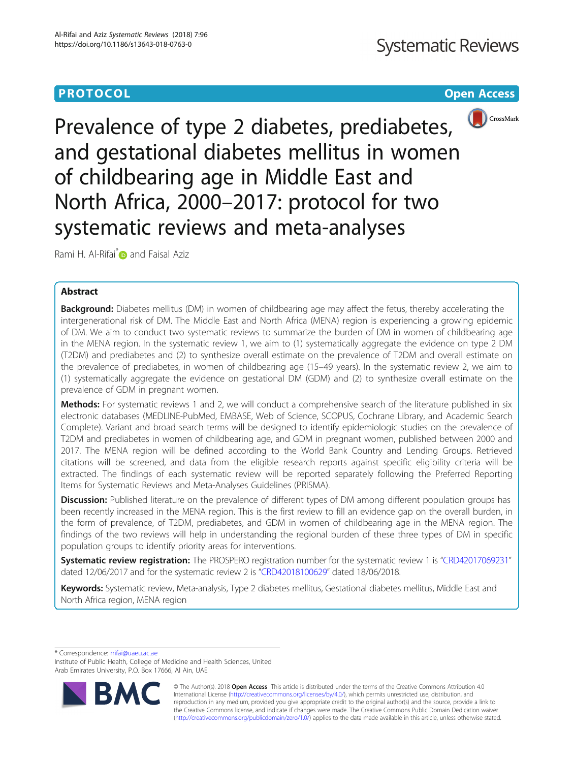# **PROTOCOL CONSUMING THE OPEN ACCESS**



Prevalence of type 2 diabetes, prediabetes, and gestational diabetes mellitus in women of childbearing age in Middle East and North Africa, 2000–2017: protocol for two systematic reviews and meta-analyses

Rami H. Al-Rifai<sup>[\\*](http://orcid.org/0000-0001-6102-0353)</sup> and Faisal Aziz

# Abstract

**Background:** Diabetes mellitus (DM) in women of childbearing age may affect the fetus, thereby accelerating the intergenerational risk of DM. The Middle East and North Africa (MENA) region is experiencing a growing epidemic of DM. We aim to conduct two systematic reviews to summarize the burden of DM in women of childbearing age in the MENA region. In the systematic review 1, we aim to (1) systematically aggregate the evidence on type 2 DM (T2DM) and prediabetes and (2) to synthesize overall estimate on the prevalence of T2DM and overall estimate on the prevalence of prediabetes, in women of childbearing age (15–49 years). In the systematic review 2, we aim to (1) systematically aggregate the evidence on gestational DM (GDM) and (2) to synthesize overall estimate on the prevalence of GDM in pregnant women.

Methods: For systematic reviews 1 and 2, we will conduct a comprehensive search of the literature published in six electronic databases (MEDLINE-PubMed, EMBASE, Web of Science, SCOPUS, Cochrane Library, and Academic Search Complete). Variant and broad search terms will be designed to identify epidemiologic studies on the prevalence of T2DM and prediabetes in women of childbearing age, and GDM in pregnant women, published between 2000 and 2017. The MENA region will be defined according to the World Bank Country and Lending Groups. Retrieved citations will be screened, and data from the eligible research reports against specific eligibility criteria will be extracted. The findings of each systematic review will be reported separately following the Preferred Reporting Items for Systematic Reviews and Meta-Analyses Guidelines (PRISMA).

Discussion: Published literature on the prevalence of different types of DM among different population groups has been recently increased in the MENA region. This is the first review to fill an evidence gap on the overall burden, in the form of prevalence, of T2DM, prediabetes, and GDM in women of childbearing age in the MENA region. The findings of the two reviews will help in understanding the regional burden of these three types of DM in specific population groups to identify priority areas for interventions.

Systematic review registration: The PROSPERO registration number for the systematic review 1 is "[CRD42017069231](https://www.crd.york.ac.uk/prospero/display_record.php?ID=CRD42017069231)" dated 12/06/2017 and for the systematic review 2 is "[CRD42018100629](https://www.crd.york.ac.uk/prospero/display_record.php?ID=CRD42018100629)" dated 18/06/2018.

Keywords: Systematic review, Meta-analysis, Type 2 diabetes mellitus, Gestational diabetes mellitus, Middle East and North Africa region, MENA region

\* Correspondence: [rrifai@uaeu.ac.ae](mailto:rrifai@uaeu.ac.ae)

Institute of Public Health, College of Medicine and Health Sciences, United Arab Emirates University, P.O. Box 17666, Al Ain, UAE



© The Author(s). 2018 Open Access This article is distributed under the terms of the Creative Commons Attribution 4.0 International License [\(http://creativecommons.org/licenses/by/4.0/](http://creativecommons.org/licenses/by/4.0/)), which permits unrestricted use, distribution, and reproduction in any medium, provided you give appropriate credit to the original author(s) and the source, provide a link to the Creative Commons license, and indicate if changes were made. The Creative Commons Public Domain Dedication waiver [\(http://creativecommons.org/publicdomain/zero/1.0/](http://creativecommons.org/publicdomain/zero/1.0/)) applies to the data made available in this article, unless otherwise stated.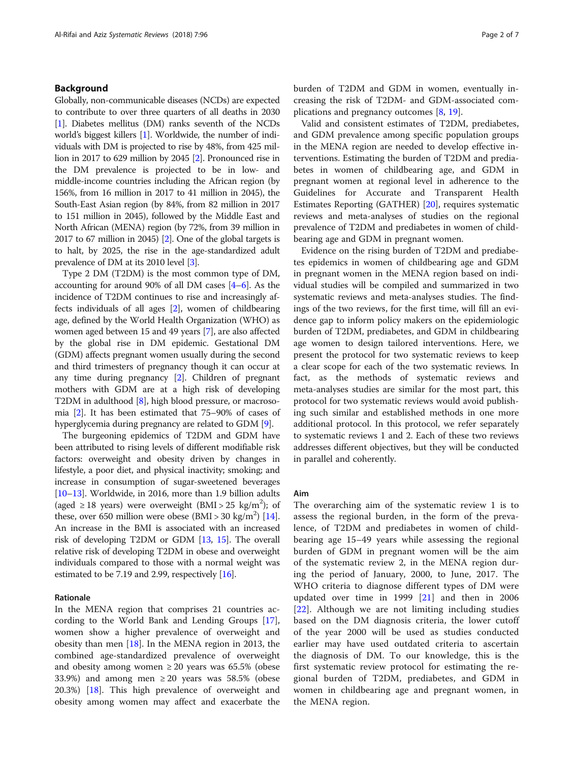# Background

Globally, non-communicable diseases (NCDs) are expected to contribute to over three quarters of all deaths in 2030 [[1](#page-5-0)]. Diabetes mellitus (DM) ranks seventh of the NCDs world's biggest killers [\[1\]](#page-5-0). Worldwide, the number of individuals with DM is projected to rise by 48%, from 425 million in 2017 to 629 million by 2045 [[2](#page-5-0)]. Pronounced rise in the DM prevalence is projected to be in low- and middle-income countries including the African region (by 156%, from 16 million in 2017 to 41 million in 2045), the South-East Asian region (by 84%, from 82 million in 2017 to 151 million in 2045), followed by the Middle East and North African (MENA) region (by 72%, from 39 million in 2017 to 67 million in 2045) [[2](#page-5-0)]. One of the global targets is to halt, by 2025, the rise in the age-standardized adult prevalence of DM at its 2010 level [\[3\]](#page-6-0).

Type 2 DM (T2DM) is the most common type of DM, accounting for around 90% of all DM cases [\[4](#page-6-0)–[6](#page-6-0)]. As the incidence of T2DM continues to rise and increasingly affects individuals of all ages [\[2](#page-5-0)], women of childbearing age, defined by the World Health Organization (WHO) as women aged between 15 and 49 years [[7](#page-6-0)], are also affected by the global rise in DM epidemic. Gestational DM (GDM) affects pregnant women usually during the second and third trimesters of pregnancy though it can occur at any time during pregnancy [[2](#page-5-0)]. Children of pregnant mothers with GDM are at a high risk of developing T2DM in adulthood [\[8\]](#page-6-0), high blood pressure, or macrosomia [\[2\]](#page-5-0). It has been estimated that 75–90% of cases of hyperglycemia during pregnancy are related to GDM [\[9\]](#page-6-0).

The burgeoning epidemics of T2DM and GDM have been attributed to rising levels of different modifiable risk factors: overweight and obesity driven by changes in lifestyle, a poor diet, and physical inactivity; smoking; and increase in consumption of sugar-sweetened beverages [[10](#page-6-0)–[13\]](#page-6-0). Worldwide, in 2016, more than 1.9 billion adults (aged  $\geq$  18 years) were overweight (BMI > 25 kg/m<sup>2</sup>); of these, over 650 million were obese (BMI > 30 kg/m<sup>2</sup>) [[14](#page-6-0)]. An increase in the BMI is associated with an increased risk of developing T2DM or GDM [\[13,](#page-6-0) [15\]](#page-6-0). The overall relative risk of developing T2DM in obese and overweight individuals compared to those with a normal weight was estimated to be 7.19 and 2.99, respectively [[16](#page-6-0)].

# Rationale

In the MENA region that comprises 21 countries according to the World Bank and Lending Groups [\[17](#page-6-0)], women show a higher prevalence of overweight and obesity than men [\[18\]](#page-6-0). In the MENA region in 2013, the combined age-standardized prevalence of overweight and obesity among women  $\geq 20$  years was 65.5% (obese 33.9%) and among men  $\geq$  20 years was 58.5% (obese 20.3%) [[18\]](#page-6-0). This high prevalence of overweight and obesity among women may affect and exacerbate the burden of T2DM and GDM in women, eventually increasing the risk of T2DM- and GDM-associated complications and pregnancy outcomes  $[8, 19]$  $[8, 19]$  $[8, 19]$  $[8, 19]$ .

Valid and consistent estimates of T2DM, prediabetes, and GDM prevalence among specific population groups in the MENA region are needed to develop effective interventions. Estimating the burden of T2DM and prediabetes in women of childbearing age, and GDM in pregnant women at regional level in adherence to the Guidelines for Accurate and Transparent Health Estimates Reporting (GATHER) [\[20\]](#page-6-0), requires systematic reviews and meta-analyses of studies on the regional prevalence of T2DM and prediabetes in women of childbearing age and GDM in pregnant women.

Evidence on the rising burden of T2DM and prediabetes epidemics in women of childbearing age and GDM in pregnant women in the MENA region based on individual studies will be compiled and summarized in two systematic reviews and meta-analyses studies. The findings of the two reviews, for the first time, will fill an evidence gap to inform policy makers on the epidemiologic burden of T2DM, prediabetes, and GDM in childbearing age women to design tailored interventions. Here, we present the protocol for two systematic reviews to keep a clear scope for each of the two systematic reviews. In fact, as the methods of systematic reviews and meta-analyses studies are similar for the most part, this protocol for two systematic reviews would avoid publishing such similar and established methods in one more additional protocol. In this protocol, we refer separately to systematic reviews 1 and 2. Each of these two reviews addresses different objectives, but they will be conducted in parallel and coherently.

#### Aim

The overarching aim of the systematic review 1 is to assess the regional burden, in the form of the prevalence, of T2DM and prediabetes in women of childbearing age 15–49 years while assessing the regional burden of GDM in pregnant women will be the aim of the systematic review 2, in the MENA region during the period of January, 2000, to June, 2017. The WHO criteria to diagnose different types of DM were updated over time in 1999 [[21\]](#page-6-0) and then in 2006 [[22\]](#page-6-0). Although we are not limiting including studies based on the DM diagnosis criteria, the lower cutoff of the year 2000 will be used as studies conducted earlier may have used outdated criteria to ascertain the diagnosis of DM. To our knowledge, this is the first systematic review protocol for estimating the regional burden of T2DM, prediabetes, and GDM in women in childbearing age and pregnant women, in the MENA region.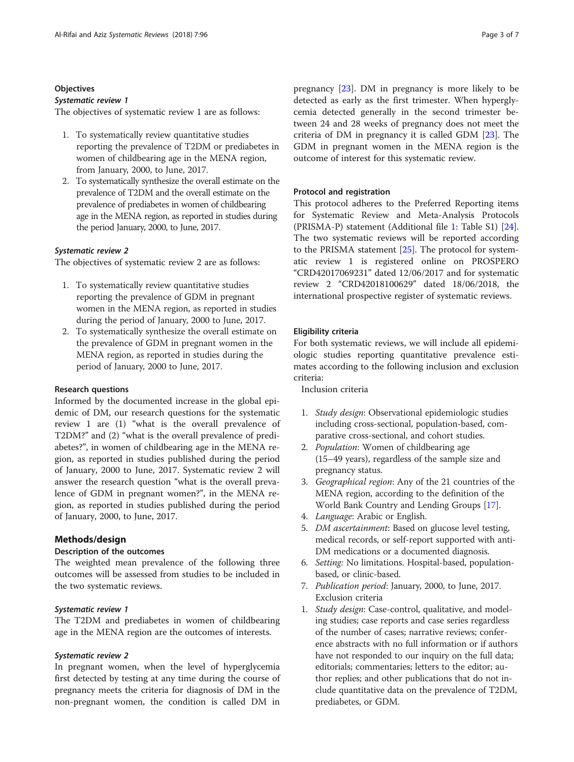# **Objectives**

#### Systematic review 1

The objectives of systematic review 1 are as follows:

- 1. To systematically review quantitative studies reporting the prevalence of T2DM or prediabetes in women of childbearing age in the MENA region, from January, 2000, to June, 2017.
- 2. To systematically synthesize the overall estimate on the prevalence of T2DM and the overall estimate on the prevalence of prediabetes in women of childbearing age in the MENA region, as reported in studies during the period January, 2000, to June, 2017.

# Systematic review 2

The objectives of systematic review 2 are as follows:

- 1. To systematically review quantitative studies reporting the prevalence of GDM in pregnant women in the MENA region, as reported in studies during the period of January, 2000 to June, 2017.
- 2. To systematically synthesize the overall estimate on the prevalence of GDM in pregnant women in the MENA region, as reported in studies during the period of January, 2000 to June, 2017.

#### Research questions

Informed by the documented increase in the global epidemic of DM, our research questions for the systematic review 1 are (1) "what is the overall prevalence of T2DM?" and (2) "what is the overall prevalence of prediabetes?", in women of childbearing age in the MENA region, as reported in studies published during the period of January, 2000 to June, 2017. Systematic review 2 will answer the research question "what is the overall prevalence of GDM in pregnant women?", in the MENA region, as reported in studies published during the period of January, 2000, to June, 2017.

### Methods/design

# Description of the outcomes

The weighted mean prevalence of the following three outcomes will be assessed from studies to be included in the two systematic reviews.

#### Systematic review 1

The T2DM and prediabetes in women of childbearing age in the MENA region are the outcomes of interests.

# Systematic review 2

In pregnant women, when the level of hyperglycemia first detected by testing at any time during the course of pregnancy meets the criteria for diagnosis of DM in the non-pregnant women, the condition is called DM in

pregnancy [\[23](#page-6-0)]. DM in pregnancy is more likely to be detected as early as the first trimester. When hyperglycemia detected generally in the second trimester between 24 and 28 weeks of pregnancy does not meet the criteria of DM in pregnancy it is called GDM [[23](#page-6-0)]. The GDM in pregnant women in the MENA region is the outcome of interest for this systematic review.

#### Protocol and registration

This protocol adheres to the Preferred Reporting items for Systematic Review and Meta-Analysis Protocols (PRISMA-P) statement (Additional file [1](#page-5-0): Table S1) [\[24](#page-6-0)]. The two systematic reviews will be reported according to the PRISMA statement [[25](#page-6-0)]. The protocol for systematic review 1 is registered online on PROSPERO "CRD42017069231" dated 12/06/2017 and for systematic review 2 "CRD42018100629" dated 18/06/2018, the international prospective register of systematic reviews.

#### Eligibility criteria

For both systematic reviews, we will include all epidemiologic studies reporting quantitative prevalence estimates according to the following inclusion and exclusion criteria:

Inclusion criteria

- 1. Study design: Observational epidemiologic studies including cross-sectional, population-based, comparative cross-sectional, and cohort studies.
- 2. Population: Women of childbearing age (15–49 years), regardless of the sample size and pregnancy status.
- 3. Geographical region: Any of the 21 countries of the MENA region, according to the definition of the World Bank Country and Lending Groups [[17\]](#page-6-0).
- 4. Language: Arabic or English.
- 5. DM ascertainment: Based on glucose level testing, medical records, or self-report supported with anti-DM medications or a documented diagnosis.
- 6. Setting: No limitations. Hospital-based, populationbased, or clinic-based.
- 7. Publication period: January, 2000, to June, 2017. Exclusion criteria
- 1. Study design: Case-control, qualitative, and modeling studies; case reports and case series regardless of the number of cases; narrative reviews; conference abstracts with no full information or if authors have not responded to our inquiry on the full data; editorials; commentaries; letters to the editor; author replies; and other publications that do not include quantitative data on the prevalence of T2DM, prediabetes, or GDM.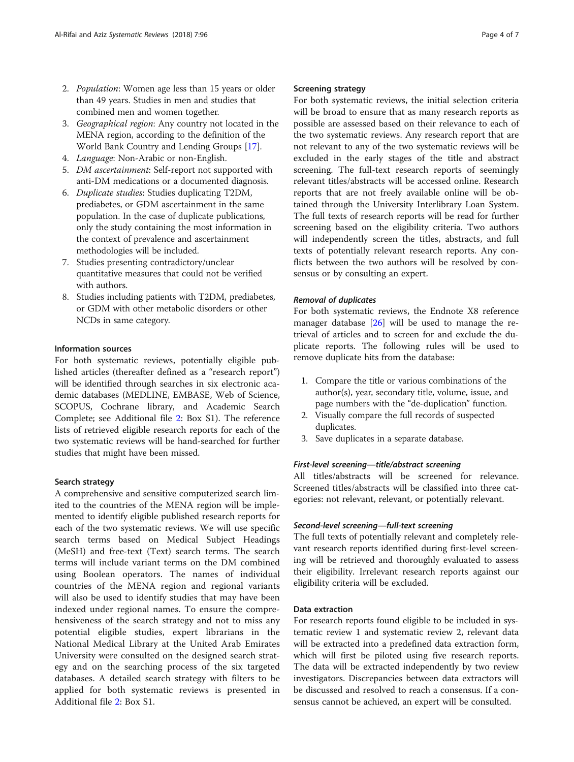- 2. Population: Women age less than 15 years or older than 49 years. Studies in men and studies that combined men and women together.
- 3. Geographical region: Any country not located in the MENA region, according to the definition of the World Bank Country and Lending Groups [[17\]](#page-6-0).
- 4. Language: Non-Arabic or non-English.
- 5. DM ascertainment: Self-report not supported with anti-DM medications or a documented diagnosis.
- 6. Duplicate studies: Studies duplicating T2DM, prediabetes, or GDM ascertainment in the same population. In the case of duplicate publications, only the study containing the most information in the context of prevalence and ascertainment methodologies will be included.
- 7. Studies presenting contradictory/unclear quantitative measures that could not be verified with authors.
- 8. Studies including patients with T2DM, prediabetes, or GDM with other metabolic disorders or other NCDs in same category.

### Information sources

For both systematic reviews, potentially eligible published articles (thereafter defined as a "research report") will be identified through searches in six electronic academic databases (MEDLINE, EMBASE, Web of Science, SCOPUS, Cochrane library, and Academic Search Complete; see Additional file [2:](#page-5-0) Box S1). The reference lists of retrieved eligible research reports for each of the two systematic reviews will be hand-searched for further studies that might have been missed.

#### Search strategy

A comprehensive and sensitive computerized search limited to the countries of the MENA region will be implemented to identify eligible published research reports for each of the two systematic reviews. We will use specific search terms based on Medical Subject Headings (MeSH) and free-text (Text) search terms. The search terms will include variant terms on the DM combined using Boolean operators. The names of individual countries of the MENA region and regional variants will also be used to identify studies that may have been indexed under regional names. To ensure the comprehensiveness of the search strategy and not to miss any potential eligible studies, expert librarians in the National Medical Library at the United Arab Emirates University were consulted on the designed search strategy and on the searching process of the six targeted databases. A detailed search strategy with filters to be applied for both systematic reviews is presented in Additional file [2](#page-5-0): Box S1.

# Screening strategy

For both systematic reviews, the initial selection criteria will be broad to ensure that as many research reports as possible are assessed based on their relevance to each of the two systematic reviews. Any research report that are not relevant to any of the two systematic reviews will be excluded in the early stages of the title and abstract screening. The full-text research reports of seemingly relevant titles/abstracts will be accessed online. Research reports that are not freely available online will be obtained through the University Interlibrary Loan System. The full texts of research reports will be read for further screening based on the eligibility criteria. Two authors will independently screen the titles, abstracts, and full texts of potentially relevant research reports. Any conflicts between the two authors will be resolved by consensus or by consulting an expert.

### Removal of duplicates

For both systematic reviews, the Endnote X8 reference manager database [\[26\]](#page-6-0) will be used to manage the retrieval of articles and to screen for and exclude the duplicate reports. The following rules will be used to remove duplicate hits from the database:

- 1. Compare the title or various combinations of the author(s), year, secondary title, volume, issue, and page numbers with the "de-duplication" function.
- 2. Visually compare the full records of suspected duplicates.
- 3. Save duplicates in a separate database.

#### First-level screening—title/abstract screening

All titles/abstracts will be screened for relevance. Screened titles/abstracts will be classified into three categories: not relevant, relevant, or potentially relevant.

#### Second-level screening—full-text screening

The full texts of potentially relevant and completely relevant research reports identified during first-level screening will be retrieved and thoroughly evaluated to assess their eligibility. Irrelevant research reports against our eligibility criteria will be excluded.

#### Data extraction

For research reports found eligible to be included in systematic review 1 and systematic review 2, relevant data will be extracted into a predefined data extraction form, which will first be piloted using five research reports. The data will be extracted independently by two review investigators. Discrepancies between data extractors will be discussed and resolved to reach a consensus. If a consensus cannot be achieved, an expert will be consulted.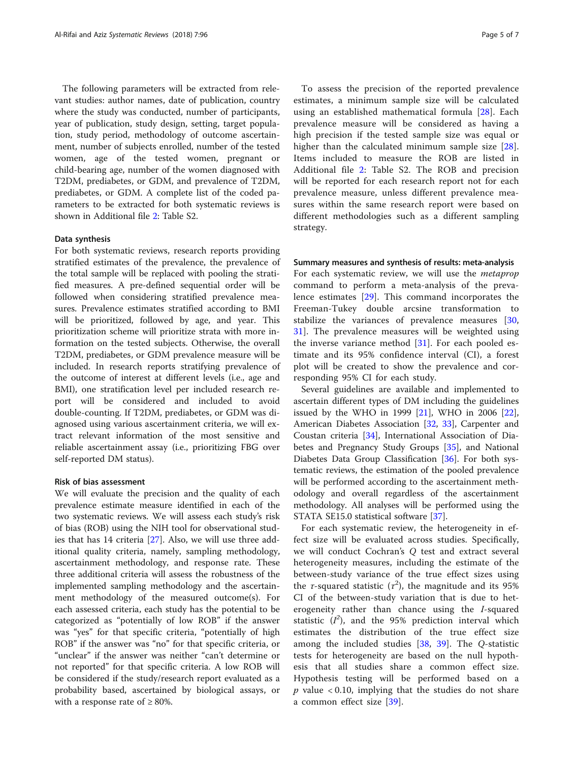The following parameters will be extracted from relevant studies: author names, date of publication, country where the study was conducted, number of participants, year of publication, study design, setting, target population, study period, methodology of outcome ascertainment, number of subjects enrolled, number of the tested women, age of the tested women, pregnant or child-bearing age, number of the women diagnosed with T2DM, prediabetes, or GDM, and prevalence of T2DM, prediabetes, or GDM. A complete list of the coded parameters to be extracted for both systematic reviews is shown in Additional file [2](#page-5-0): Table S2.

#### Data synthesis

For both systematic reviews, research reports providing stratified estimates of the prevalence, the prevalence of the total sample will be replaced with pooling the stratified measures. A pre-defined sequential order will be followed when considering stratified prevalence measures. Prevalence estimates stratified according to BMI will be prioritized, followed by age, and year. This prioritization scheme will prioritize strata with more information on the tested subjects. Otherwise, the overall T2DM, prediabetes, or GDM prevalence measure will be included. In research reports stratifying prevalence of the outcome of interest at different levels (i.e., age and BMI), one stratification level per included research report will be considered and included to avoid double-counting. If T2DM, prediabetes, or GDM was diagnosed using various ascertainment criteria, we will extract relevant information of the most sensitive and reliable ascertainment assay (i.e., prioritizing FBG over self-reported DM status).

#### Risk of bias assessment

We will evaluate the precision and the quality of each prevalence estimate measure identified in each of the two systematic reviews. We will assess each study's risk of bias (ROB) using the NIH tool for observational studies that has 14 criteria [[27\]](#page-6-0). Also, we will use three additional quality criteria, namely, sampling methodology, ascertainment methodology, and response rate. These three additional criteria will assess the robustness of the implemented sampling methodology and the ascertainment methodology of the measured outcome(s). For each assessed criteria, each study has the potential to be categorized as "potentially of low ROB" if the answer was "yes" for that specific criteria, "potentially of high ROB" if the answer was "no" for that specific criteria, or "unclear" if the answer was neither "can't determine or not reported" for that specific criteria. A low ROB will be considered if the study/research report evaluated as a probability based, ascertained by biological assays, or with a response rate of  $\geq 80\%$ .

To assess the precision of the reported prevalence estimates, a minimum sample size will be calculated using an established mathematical formula [\[28](#page-6-0)]. Each prevalence measure will be considered as having a high precision if the tested sample size was equal or higher than the calculated minimum sample size [\[28](#page-6-0)]. Items included to measure the ROB are listed in Additional file [2:](#page-5-0) Table S2. The ROB and precision will be reported for each research report not for each prevalence measure, unless different prevalence measures within the same research report were based on different methodologies such as a different sampling strategy.

#### Summary measures and synthesis of results: meta-analysis

For each systematic review, we will use the metaprop command to perform a meta-analysis of the prevalence estimates [\[29](#page-6-0)]. This command incorporates the Freeman-Tukey double arcsine transformation to stabilize the variances of prevalence measures [\[30](#page-6-0), [31\]](#page-6-0). The prevalence measures will be weighted using the inverse variance method [\[31](#page-6-0)]. For each pooled estimate and its 95% confidence interval (CI), a forest plot will be created to show the prevalence and corresponding 95% CI for each study.

Several guidelines are available and implemented to ascertain different types of DM including the guidelines issued by the WHO in 1999 [[21](#page-6-0)], WHO in 2006 [\[22](#page-6-0)], American Diabetes Association [[32,](#page-6-0) [33\]](#page-6-0), Carpenter and Coustan criteria [[34](#page-6-0)], International Association of Diabetes and Pregnancy Study Groups [[35](#page-6-0)], and National Diabetes Data Group Classification [\[36](#page-6-0)]. For both systematic reviews, the estimation of the pooled prevalence will be performed according to the ascertainment methodology and overall regardless of the ascertainment methodology. All analyses will be performed using the STATA SE15.0 statistical software [[37](#page-6-0)].

For each systematic review, the heterogeneity in effect size will be evaluated across studies. Specifically, we will conduct Cochran's Q test and extract several heterogeneity measures, including the estimate of the between-study variance of the true effect sizes using the *τ*-squared statistic ( $\tau^2$ ), the magnitude and its 95% CI of the between-study variation that is due to heterogeneity rather than chance using the I-squared statistic  $(I^2)$ , and the 95% prediction interval which estimates the distribution of the true effect size among the included studies  $[38, 39]$  $[38, 39]$  $[38, 39]$  $[38, 39]$  $[38, 39]$ . The Q-statistic tests for heterogeneity are based on the null hypothesis that all studies share a common effect size. Hypothesis testing will be performed based on a  $p$  value < 0.10, implying that the studies do not share a common effect size [\[39](#page-6-0)].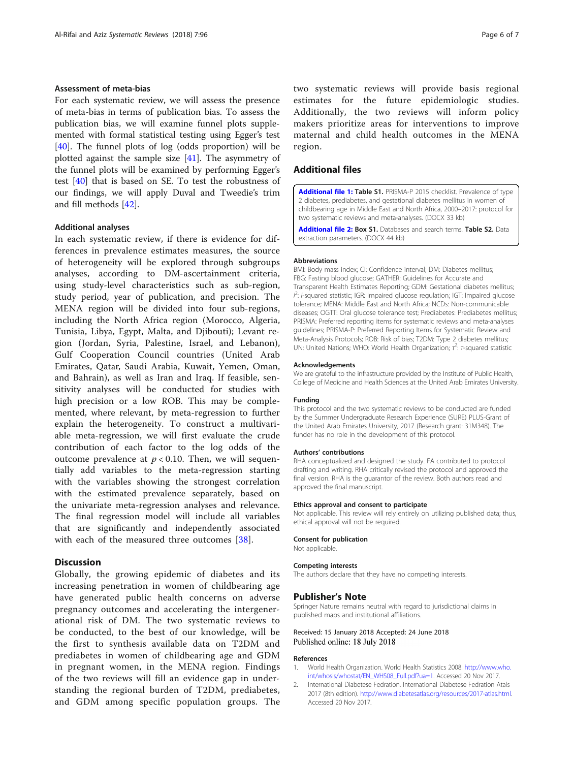#### <span id="page-5-0"></span>Assessment of meta-bias

For each systematic review, we will assess the presence of meta-bias in terms of publication bias. To assess the publication bias, we will examine funnel plots supplemented with formal statistical testing using Egger's test [[40\]](#page-6-0). The funnel plots of log (odds proportion) will be plotted against the sample size [\[41](#page-6-0)]. The asymmetry of the funnel plots will be examined by performing Egger's test [\[40](#page-6-0)] that is based on SE. To test the robustness of our findings, we will apply Duval and Tweedie's trim and fill methods [\[42](#page-6-0)].

#### Additional analyses

In each systematic review, if there is evidence for differences in prevalence estimates measures, the source of heterogeneity will be explored through subgroups analyses, according to DM-ascertainment criteria, using study-level characteristics such as sub-region, study period, year of publication, and precision. The MENA region will be divided into four sub-regions, including the North Africa region (Morocco, Algeria, Tunisia, Libya, Egypt, Malta, and Djibouti); Levant region (Jordan, Syria, Palestine, Israel, and Lebanon), Gulf Cooperation Council countries (United Arab Emirates, Qatar, Saudi Arabia, Kuwait, Yemen, Oman, and Bahrain), as well as Iran and Iraq. If feasible, sensitivity analyses will be conducted for studies with high precision or a low ROB. This may be complemented, where relevant, by meta-regression to further explain the heterogeneity. To construct a multivariable meta-regression, we will first evaluate the crude contribution of each factor to the log odds of the outcome prevalence at  $p < 0.10$ . Then, we will sequentially add variables to the meta-regression starting with the variables showing the strongest correlation with the estimated prevalence separately, based on the univariate meta-regression analyses and relevance. The final regression model will include all variables that are significantly and independently associated with each of the measured three outcomes [[38\]](#page-6-0).

# **Discussion**

Globally, the growing epidemic of diabetes and its increasing penetration in women of childbearing age have generated public health concerns on adverse pregnancy outcomes and accelerating the intergenerational risk of DM. The two systematic reviews to be conducted, to the best of our knowledge, will be the first to synthesis available data on T2DM and prediabetes in women of childbearing age and GDM in pregnant women, in the MENA region. Findings of the two reviews will fill an evidence gap in understanding the regional burden of T2DM, prediabetes, and GDM among specific population groups. The two systematic reviews will provide basis regional estimates for the future epidemiologic studies. Additionally, the two reviews will inform policy makers prioritize areas for interventions to improve maternal and child health outcomes in the MENA region.

#### Additional files

[Additional file 1:](https://doi.org/10.1186/s13643-018-0763-0) Table S1. PRISMA-P 2015 checklist. Prevalence of type 2 diabetes, prediabetes, and gestational diabetes mellitus in women of childbearing age in Middle East and North Africa, 2000–2017: protocol for two systematic reviews and meta-analyses. (DOCX 33 kb)

[Additional file 2:](https://doi.org/10.1186/s13643-018-0763-0) Box S1. Databases and search terms. Table S2. Data extraction parameters. (DOCX 44 kb)

#### Abbreviations

BMI: Body mass index; CI: Confidence interval; DM: Diabetes mellitus; FBG: Fasting blood glucose; GATHER: Guidelines for Accurate and Transparent Health Estimates Reporting; GDM: Gestational diabetes mellitus; I  $e^2$ : I-squared statistic; IGR: Impaired glucose regulation; IGT: Impaired glucose tolerance; MENA: Middle East and North Africa; NCDs: Non-communicable diseases; OGTT: Oral glucose tolerance test; Prediabetes: Prediabetes mellitus; PRISMA: Preferred reporting items for systematic reviews and meta-analyses guidelines; PRISMA-P: Preferred Reporting Items for Systematic Review and Meta-Analysis Protocols; ROB: Risk of bias; T2DM: Type 2 diabetes mellitus; UN: United Nations; WHO: World Health Organization; τ<sup>2</sup>: τ-squared statistic

#### Acknowledgements

We are grateful to the infrastructure provided by the Institute of Public Health, College of Medicine and Health Sciences at the United Arab Emirates University.

#### Funding

This protocol and the two systematic reviews to be conducted are funded by the Summer Undergraduate Research Experience (SURE) PLUS-Grant of the United Arab Emirates University, 2017 (Research grant: 31M348). The funder has no role in the development of this protocol.

#### Authors' contributions

RHA conceptualized and designed the study. FA contributed to protocol drafting and writing. RHA critically revised the protocol and approved the final version. RHA is the guarantor of the review. Both authors read and approved the final manuscript.

#### Ethics approval and consent to participate

Not applicable. This review will rely entirely on utilizing published data; thus, ethical approval will not be required.

#### Consent for publication

Not applicable.

#### Competing interests

The authors declare that they have no competing interests.

#### Publisher's Note

Springer Nature remains neutral with regard to jurisdictional claims in published maps and institutional affiliations.

#### Received: 15 January 2018 Accepted: 24 June 2018 Published online: 18 July 2018

#### References

- 1. World Health Organization. World Health Statistics 2008. [http://www.who.](http://www.who.int/whosis/whostat/EN_WHS08_Full.pdf?ua=1) [int/whosis/whostat/EN\\_WHS08\\_Full.pdf?ua=1.](http://www.who.int/whosis/whostat/EN_WHS08_Full.pdf?ua=1) Accessed 20 Nov 2017.
- 2. International Diabetese Fedration. International Diabetese Fedration Atals 2017 (8th edition). <http://www.diabetesatlas.org/resources/2017-atlas.html>. Accessed 20 Nov 2017.